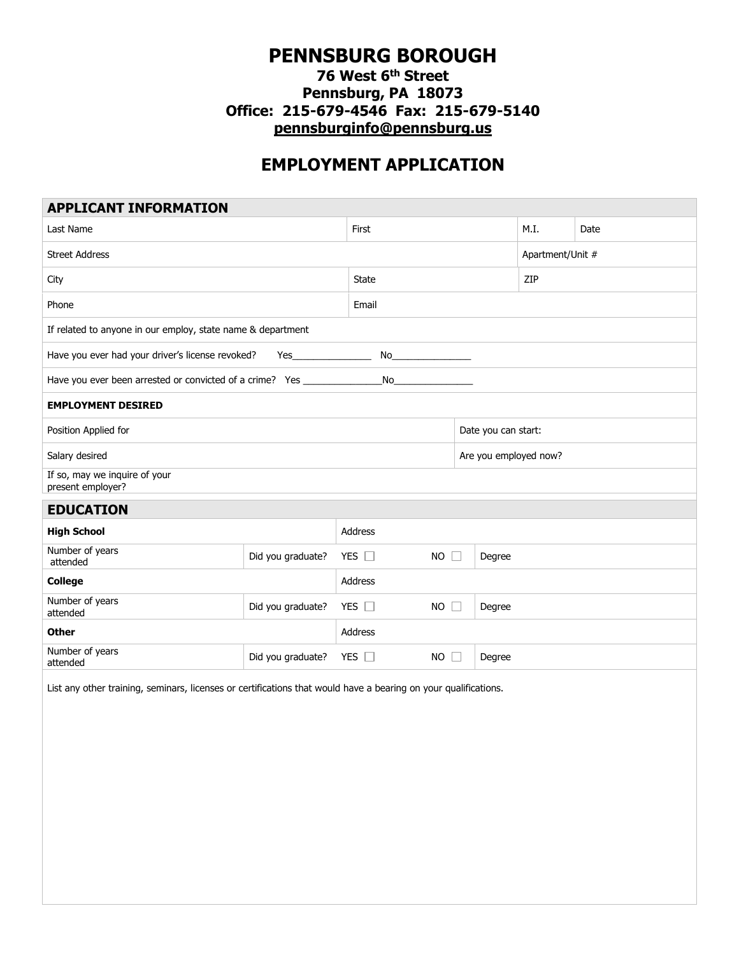## **PENNSBURG BOROUGH**

## **76 West 6th Street Pennsburg, PA 18073 Office: 215-679-4546 Fax: 215-679-5140 [pennsburginfo@pennsburg.us](mailto:pennsburginfo@pennsburg.us)**

## **EMPLOYMENT APPLICATION**

| <b>APPLICANT INFORMATION</b>                                                                                    |                   |                              |        |                       |      |  |
|-----------------------------------------------------------------------------------------------------------------|-------------------|------------------------------|--------|-----------------------|------|--|
| Last Name                                                                                                       |                   | First                        |        | M.I.                  | Date |  |
| <b>Street Address</b>                                                                                           |                   |                              |        | Apartment/Unit #      |      |  |
| City                                                                                                            | State             |                              | ZIP    |                       |      |  |
| Phone                                                                                                           | Email             |                              |        |                       |      |  |
| If related to anyone in our employ, state name & department                                                     |                   |                              |        |                       |      |  |
| Have you ever had your driver's license revoked?<br>No<br>Yes                                                   |                   |                              |        |                       |      |  |
| Have you ever been arrested or convicted of a crime? Yes _______________________                                |                   | No                           |        |                       |      |  |
| <b>EMPLOYMENT DESIRED</b>                                                                                       |                   |                              |        |                       |      |  |
| Position Applied for                                                                                            |                   |                              |        | Date you can start:   |      |  |
| Salary desired                                                                                                  |                   |                              |        | Are you employed now? |      |  |
| If so, may we inquire of your<br>present employer?                                                              |                   |                              |        |                       |      |  |
| <b>EDUCATION</b>                                                                                                |                   |                              |        |                       |      |  |
| <b>High School</b>                                                                                              |                   | Address                      |        |                       |      |  |
| Number of years<br>attended                                                                                     | Did you graduate? | YES $\Box$<br>$NO$ $\Box$    | Degree |                       |      |  |
| <b>College</b>                                                                                                  |                   | Address                      |        |                       |      |  |
| Number of years<br>attended                                                                                     | Did you graduate? | YES $\square$<br>$NO$ $\Box$ | Degree |                       |      |  |
| <b>Other</b>                                                                                                    |                   | Address                      |        |                       |      |  |
| Number of years<br>attended                                                                                     | Did you graduate? | YES $\square$<br>$NO$ $\Box$ | Degree |                       |      |  |
| List any other training, seminars, licenses or certifications that would have a bearing on your qualifications. |                   |                              |        |                       |      |  |